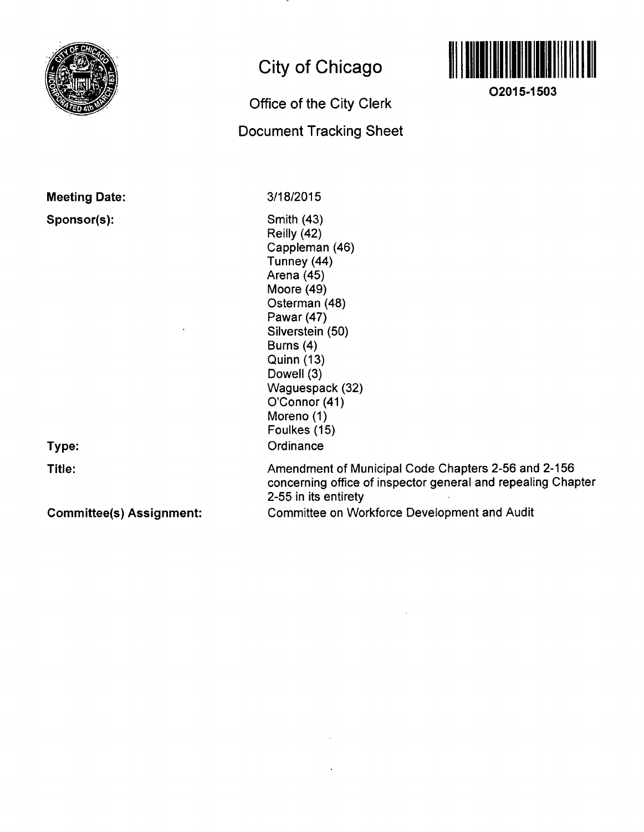

Meeting Date:

Sponsor(s):

# **City of Chicago**

# Office of the City Clerk Document Tracking Sheet



**O2015-1503** 

3/18/2015

Smith (43) Reilly (42) Cappleman (46) Tunney (44) Arena (45) Moore (49) Osterman (48) Pawar (47) Silverstein (50) Burns (4) Quinn (13) Dowell (3) Waguespack (32) O'Connor (41) Moreno (1) Foulkes (15) **Ordinance** 

Type:

Title:

Committee(s) Assignment:

Amendment of Municipal Code Chapters 2-56 and 2-156 concerning office of inspector general and repealing Chapter 2-55 in its entirety Committee on Workforce Development and Audit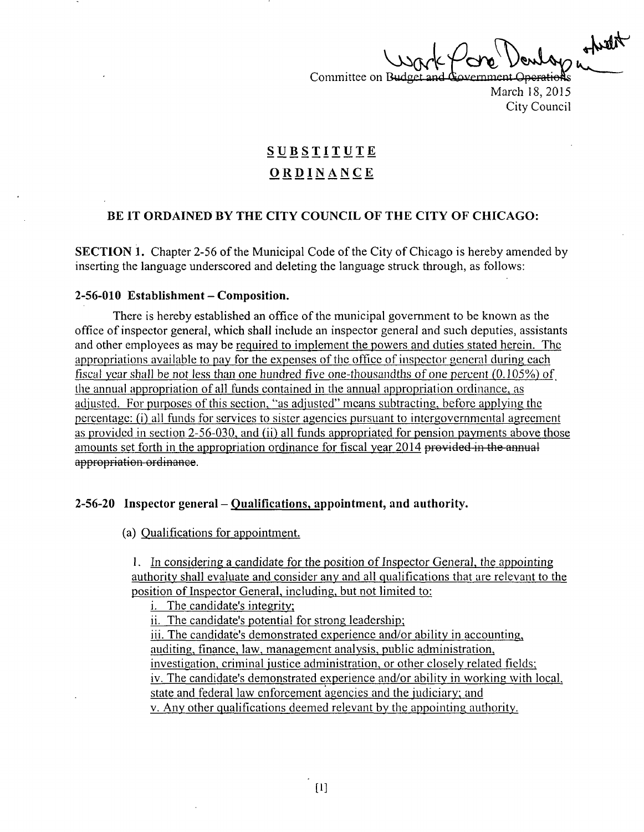Committee on Budget and Government Operations March 18,2015

City Council

## **SUBSTITUT E ORDINANC E**

#### **BE IT ORDAINED BY THE CITY COUNCIL OF THE CITY OF CHICAGO:**

SECTION 1. Chapter 2-56 of the Municipal Code of the City of Chicago is hereby amended by inserting the language underscored and deleting the language struck through, as follows:

#### **2-56-010 Establishment - Composition.**

There is hereby established an office of the municipal government to be known as the office of inspector general, which shall include an inspector general and such deputies, assistants and other employees as may be required to implement the powers and duties stated herein. The appropriations available to pay for the expenses of the office of inspector general during each fiscal year shall be not less than one hundred five one-thousandths of one percent (0.105%) of the annual appropriation of all funds contained in the annual appropriation ordinance, as adjusted. For purposes of this section, "as adjusted" means subtracting, before applying the percentage: (i) all funds for services to sister agencies pursuant to intergovernmental agreement as provided in section 2-56-030, and (ii) all funds appropriated for pension payments above those amounts set forth in the appropriation ordinance for fiscal year 2014 provided in the annual appropriation ordinance.

#### **2-56-20 Inspector general - Qualifications, appointment, and authority.**

(a) Qualiflcations for appointment.

1. In considering a candidate for the position of Inspector General, the appointing authoritv shall evaluate and consider any and all qualifications that are relevant to the position of Inspector General, including, but not limited to:

i. The candidate's integrity:

ii. The candidate's potential for strong leadership:

iii. The candidate's demonstrated experience and/or abilitv in accounting, auditing, finance, law, management analysis, public administration,

investigation, criminal justice administration, or other closely related fields;

iv. The candidate's demonstrated experience and/or ability in working with local,

state and federal law enforcement agencies and the judiciary; and

V. Any other qualifications deemed relevant by the appointing authority.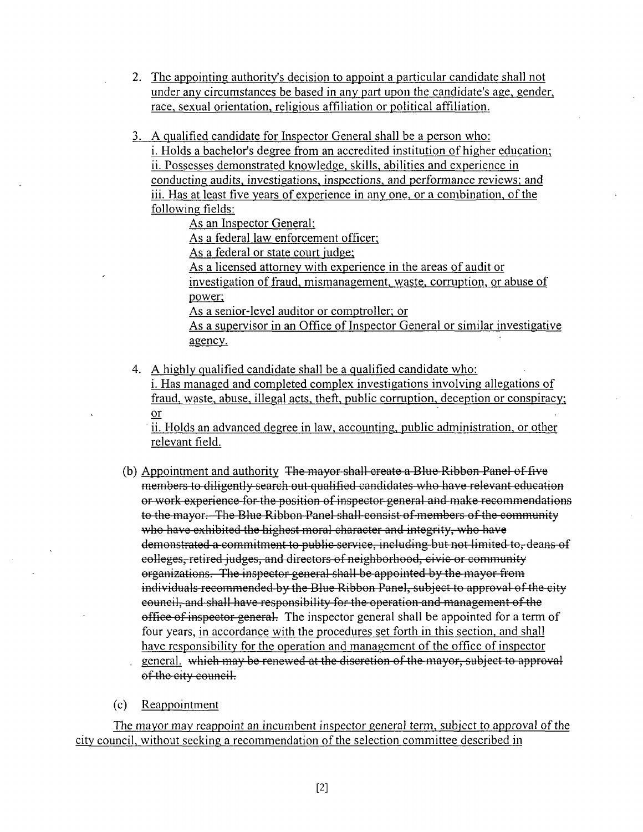- 2. The appointing authority's decision to appoint a particular candidate shall not under anv circumstances be based in any part upon the candidate's age, gender, race, sexual orientation, religious affiliation or political affiliation.
- 3. A qualified candidate for Inspector General shall be a person who:

i. Holds a bachelor's degree from an accredited institution of higher education; ii. Possesses demonstrated knowledge, skills, abilities and experience in conducting audits, investigations, inspections, and performance reviews: and iii. Has at least five years of experience in any one, or a combination, of the following fields:

As an Inspector General;

As a federal law enforcement officer;

As a federal or state court judge:

As a licensed attorney with experience in the areas of audit or investigation of fraud, mismanagement, waste, corruption, or abuse of power;

As a senior-level auditor or comptroller; or

As a supervisor in an Office of Inspector General or similar investigative agency.

4. A highly qualified candidate shall be a qualified candidate who: i. Has managed and completed complex investigations involving allegations of fraud, waste, abuse, illegal acts, theft, public corruption, deception or conspiracy: or

ii. Holds an advanced degree in law, accounting, public administration, or other relevant field.

- (b) Appointment and authority The mayor shall create a Blue Ribbon Panel of five members to diligently search out qualified candidates who have relevant education or work experience for the position of inspector general and make recommendations to the mayor. The Blue Ribbon Panel shall consist of members of the community who have exhibited the highest moral character and integrity, who have demonstrated a commitment to public service, including but not limited to, deans of colleges, retired judges, and directors of neighborhood, civic or community organizations. The inspector general shall be appointed by the mayor from individuals recommended by the Blue Ribbon Panel, subject to approval of the city council, and shall have responsibility for the operation and management of the office of inspector general. The inspector general shall be appointed for a term of four years, in accordance with the procedures set forth in this section, and shall have responsibility for the operation and management of the office of inspector general. which may be renewed at the discretion of the mayor, subject to approval of the city council.
- (c) Reappointment

The mayor may reappoint an incumbent inspector general term, subject to approval of the city council, without seeking a recommendation of the selection committee described in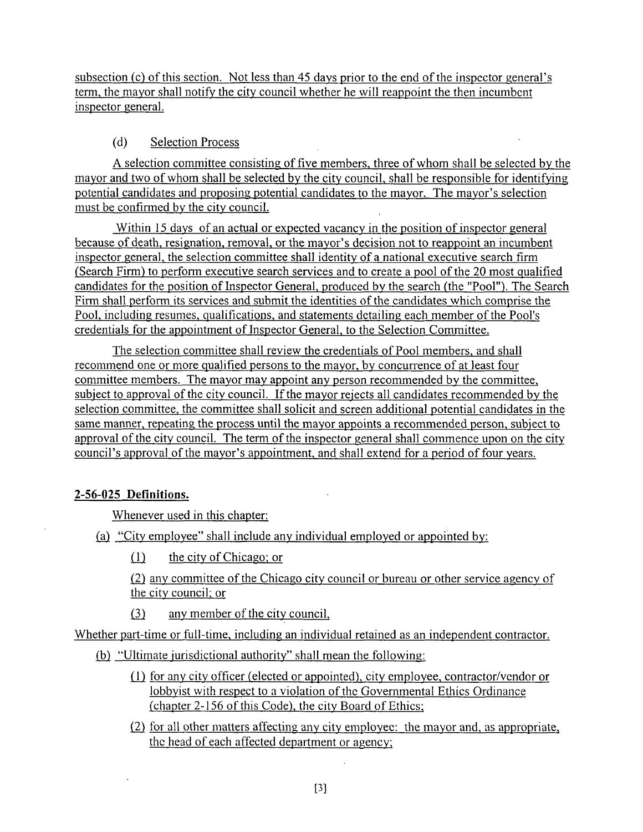subsection (c) of this section. Not less than 45 days prior to the end of the inspector general's term, the mayor shall notify the city council whether he will reappoint the then incumbent inspector general.

## (d) Selection Process

A selecfion committee consisting offive members, three of whom shall be selected by the mayor and two of whom shall be selected by the city council, shall be responsible for identifying potenfial candidates and proposing potenfial candidates to the mayor. The mayor's selection must be confirmed by the city council.

Within 15 days of an actual or expected vacancy in the position of inspector general because of death, resignation, removal, or the mayor's decision not to reappoint an incumbent inspector general, the selection committee shall identity of a nafional executive search firm (Search Firm) to perfonn executive search services and to create a pool of the 20 most qualified candidates for the posifion of Inspector General, produced by the search (the "Pool"). The Search Firm shall perform its services and submit the identities of the candidates which comprise the Pool, including resumes, qualifications, and statements detailing each member of the Pool's credentials for the appointment of Inspector General, to the Selection Committee.

The selection committee shall review the credentials of Pool members, and shall recommend one or more qualified persons to the mayor, by concurrence of at least four committee members. The mayor may appoint any person recommended by the committee, subiect to approval of the city council. If the mayor rejects all candidates recommended by the selection committee, the committee shall solicit and screen additional potential candidates in the same manner, repeating the process until the mayor appoints a recommended person, subiect to approval of the city council. The term of the inspector general shall commence upon on the city council's approval of the mayor's appointment, and shall extend for a period of four years.

## **2-56-025 Definitions.**

Whenever used in this chapter:

- (a) "City employee" shall include any individual employed or appointed by:
	- $(1)$  the city of Chicago; or

(2) any committee of the Chicago city council or bureau or other service agency of the city council: or

 $(3)$  any member of the city council,

Whether part-time or full-time, including an individual retained as an independent contractor.

- (b) "Ultimate jurisdictional authority" shall mean the following:
	- (1) for anv city officer (elected or appointed), city employee, contractor/vendor or lobbyist with respect to a violation of the Governmental Ethics Ordinance (chapter 2-156 of this Code), the city Board of Ethics;
	- (2) for all other matters affecting any city employee: the mayor and, as appropriate, the head of each affected department or agency;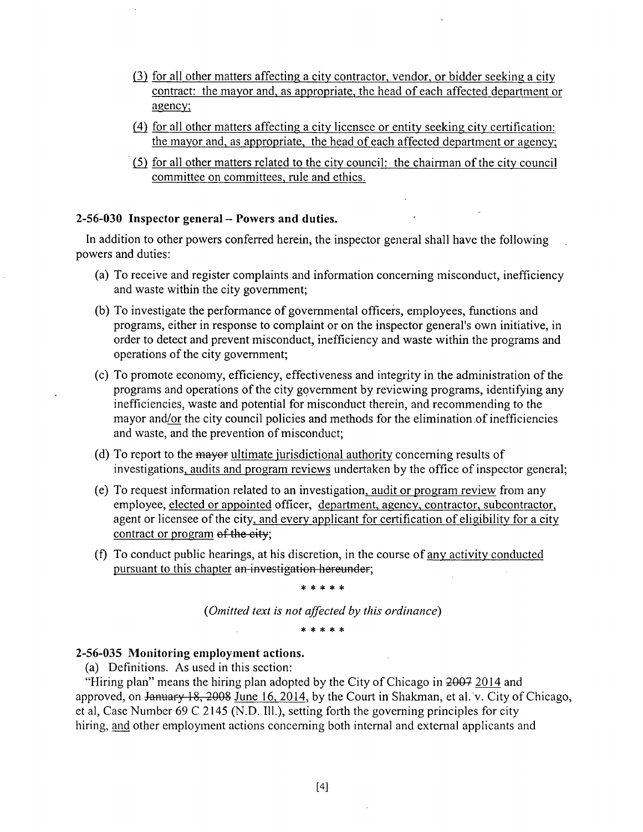- (3) for all other matters affecting a city contractor, vendor, or bidder seeking a city contract: the mayor and, as appropriate, the head of each affected department or agency;
- (4) for all other matters affecting a citv licensee or entity seeking city certification: the mayor and, as appropriate, the head of each affected department or agency;
- (5) for all other matters related to the city council: the chairman of the city council committee on committees, rule and ethics.

#### **2-56-030 Inspector general - Powers and duties.**

In addition to other powers conferred herein, the inspector general shall have the following powers and duties:

- (a) To receive and register complaints and information concerning misconduct, inefficiency and waste within the city govemment;
- (b) To investigate the performance of governmental officers, employees, functions and programs, either in response to complaint or on the inspector general's own initiative, in order to detect and prevent misconduct, inefficiency and waste within the programs and operations of the city government;
- (c) To promote economy, efficiency, effectiveness and integrity in the administration of the programs and operations of the city govemment by reviewing programs, identifying any inefficiencies, waste and potential for misconduct therein, and recommending to the mayor and/or the city council policies and methods for the elimination of inefficiencies and waste, and the prevenfion of misconduct;
- (d) To report to the mayor ultimate jurisdictional authority concerning results of investigations, audits and program reviews undertaken by the office of inspector general;
- (e) To request information related to an investigation, audit or program review from any employee, elected or appointed officer, department, agency, contractor, subcontractor, agent or licensee of the city, and every applicant for certification of eligibility for a city contract or program of the eity;
- (f) To conduct public hearings, at his discrefion, in the course of any activity conducted pursuant to this chapter an-investigation hereunder;

 $* * * * * *$ 

*{Omitted text is not affected by this ordinance)* 

#### **2-56-035 Monitoring employment actions.**

(a) Definitions. As used in this section:

"Hiring plan" means the hiring plan adopted by the City of Chicago in 2007 2014 and approved, on January 18, 2008 June 16, 2014, by the Court in Shakman, et al. v. City of Chicago, et al, Case Number 69 C 2145 (N.D. 111.), setting forth the governing principles for city hiring, and other employment actions concerning both internal and external applicants and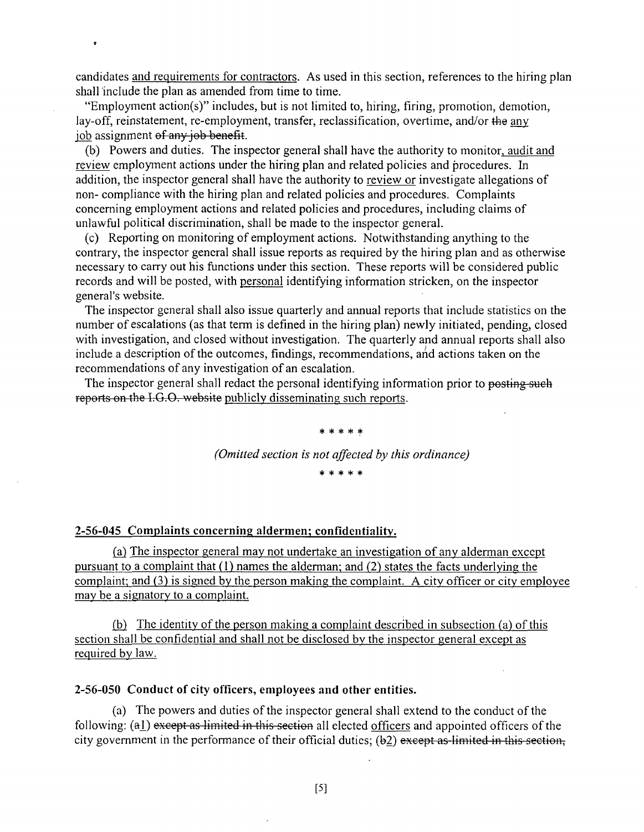candidates and requirements for contractors. As used in this section, references to the hiring plan shall include the plan as amended from time to time.

"Employment action(s)" includes, but is not limited to, hiring, firing, promotion, demofion, lay-off, reinstatement, re-employment, transfer, reclassification, overtime, and/or the any job assignment of any job benefit.

 $\bullet$ 

(b) Powers and duties. The inspector general shall have the authority to monitor, audit and review employment actions under the hiring plan and related policies and procedures. In addition, the inspector general shall have the authority to review or investigate allegations of non- compliance with the hiring plan and related policies and procedures. Complaints concerning employment actions and related policies and procedures, including claims of unlawful political discrimination, shall be made to the inspector general.

(c) Reporting on monitoring of employment actions. Notwithstanding anything to the contrary, the inspector general shall issue reports as required by the hiring plan and as otherwise necessary to carry out his functions under this section. These reports will be considered public records and will be posted, with personal idenfifying information stricken, on the inspector general's website.

The inspector general shall also issue quarterly and annual reports that include statistics on the number of escalations (as that term is defmed in the hiring plan) newly initiated, pending, closed with investigation, and closed without investigation. The quarterly and annual reports shall also include a description of the outcomes, findings, recommendations, and actions taken on the recommendations of any investigation of an escalation.

The inspector general shall redact the personal identifying information prior to posting such reports on the I.G.O. website publicly disseminating such reports.

# \* \* \* \* \* *(Omitted section is not affected by this ordinance)*

**:fe :{e 3fe :)c ^** 

#### 2-56-045 Complaints concerning aldermen; confidentiality.

(a) The inspector general may not undertake an investigation of any alderman except pursuant to a complaint that (1) names the alderman; and (2) states the facts underlying the complaint: and (3) is signed by the person making the complaint. A city officer or city employee may be a signatory to a complaint.

(b) The identity of the person making a complaint described in subsection (a) of this section shall be confidential and shall not be disclosed by the inspector general except as required by law.

#### 2-56-050 Conduct of city officers, employees and other entities.

(a) The powers and duties of the inspector general shall extend to the conduct of the following:  $(a_1)$  except as limited in this section all elected officers and appointed officers of the city government in the performance of their official duties; (b2) except as limited in this section,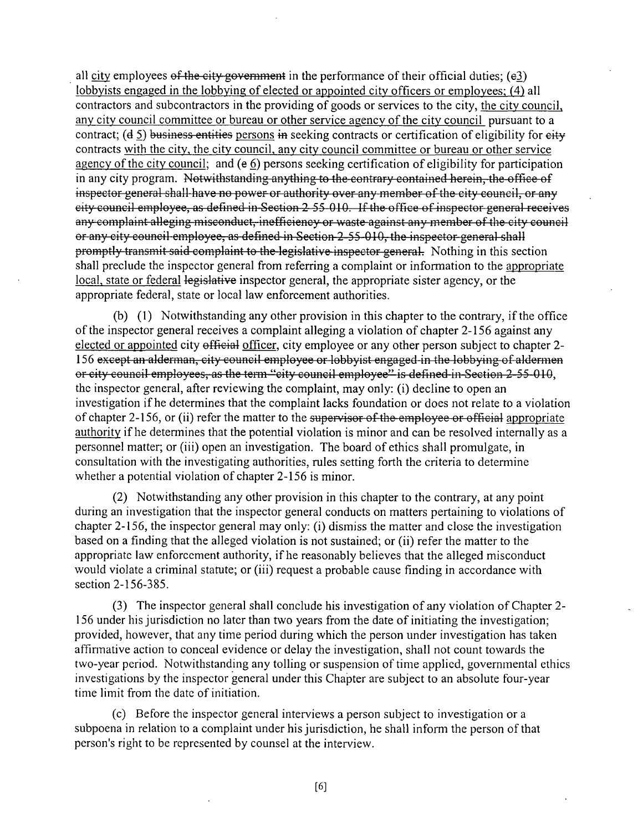all city employees of the city government in the performance of their official duties;  $(e3)$ lobbyists engaged in the lobbying of elected or appointed city officers or employees: (4) all contractors and subcontractors in the providing of goods or services to the city, the city council, any city council committee or bureau or other service agency of the city council pursuant to a contract; (d 5) business entities persons in seeking contracts or certification of eligibility for eity contracts with the city, the city council, any city council committee or bureau or other service agency of the city council; and (e 6) persons seeking certification of eligibility for participation in any city program. Notwithstanding anything to the contrary contained herein, the office of inspector general shall have no power or authority over any member of the city council, or any city council employee, as defined in Section 2 55 010. If the office of inspector general receives any complaint alleging misconduct, inefficiency or waste against any member of the city council or any city council employee, as defined in Secfion 2 55 010, the inspector general shall promptly transmit said complaint to the legislative inspector general. Nothing in this section shall preclude the inspector general from referring a complaint or information to the appropriate local, state or federal legislative inspector general, the appropriate sister agency, or the appropriate federal, state or local law enforcement authorities.

(b) (1) Notwithstanding any other provision in this chapter to the contrary, if the office of the inspector general receives a complaint alleging a violation of chapter 2-156 against any elected or appointed city official officer, city employee or any other person subject to chapter 2-156 except an alderman, city council employee or lobbyist engaged in the lobbying of aldermen or city council employees, as the term "city council employee" is defined in Section 2-55-010, the inspector general, after reviewing the complaint, may only: (i) decline to open an investigation if he determines that the complaint lacks foundation or does not relate to a violation of chapter 2-156, or (ii) refer the matter to the supervisor of the employee or official appropriate authority if he determines that the potential violation is minor and can be resolved internally as a personnel matter; or (iii) open an investigation. The board of ethics shall promulgate, in consultation with the investigating authorities, rules setting forth the criteria to determine whether a potential violation of chapter 2-156 is minor.

(2) Notwithstanding any other provision in this chapter to the contrary, at any point during an investigation that the inspector general conducts on matters pertaining to violations of chapter 2-156, the inspector general may only: (i) dismiss the matter and close the investigafion based on a finding that the alleged violation is not sustained; or (ii) refer the matter to the appropriate law enforcement authority, if he reasonably believes that the alleged misconduct would violate a criminal statute; or (iii) request a probable cause finding in accordance with section 2-156-385.

(3) The inspector general shall conclude his invesfigafion of any violation of Chapter 2- 156 under his jurisdiction no later than two years from the date of initiating the investigation; provided, however, that any time period during which the person under investigation has taken affirmative action to conceal evidence or delay the investigation, shall not count towards the two-year period. Notwithstanding any tolling or suspension of fime applied, governmental ethics invesfigations by the inspector general under this Chapter are subject to an absolute four-year time limit from the date of initiation.

(c) Before the inspector general interviews a person subject to investigation or a subpoena in relation to a complaint under his jurisdiction, he shall inform the person of that person's right to be represented by counsel at the interview.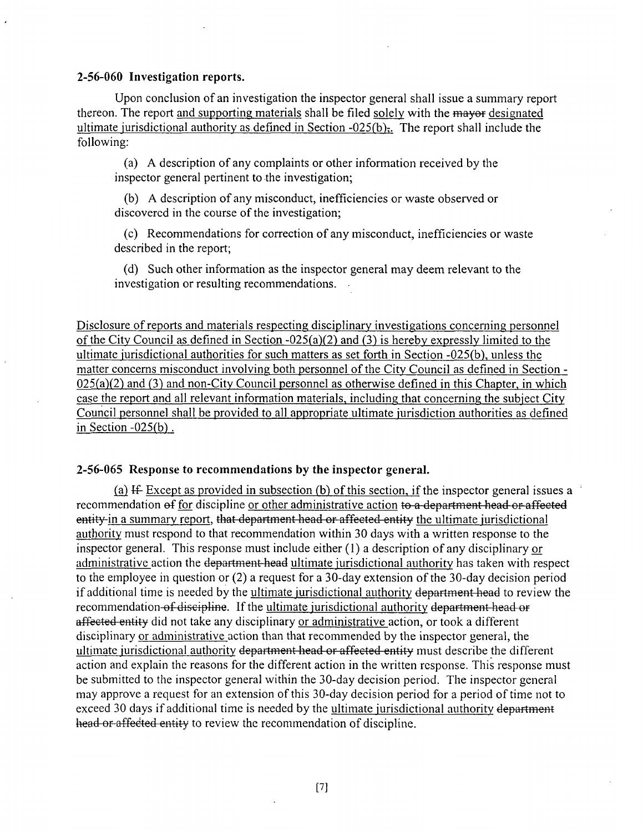#### **2-56-060 Invesfigation reports.**

Upon conclusion of an investigation the inspector general shall issue a summary report thereon. The report and supporting materials shall be filed solely with the mayor designated ultimate jurisdictional authority as defined in Section  $-025(b)$ . The report shall include the following:

(a) A description of any complaints or other informafion received by the inspector general pertinent to the investigation;

(b) A description of any misconduct, inefficiencies or waste observed or discovered in the course of the investigation;

(c) Recommendations for correction of any misconduct, inefficiencies or waste described in the report;

(d) Such other information as the inspector general may deem relevant to the investigation or resulting recommendations.

Disclosure of reports and materials respecting disciplinary investigations concerning personnel of the City Council as defined in Section  $-025(a)(2)$  and (3) is hereby expressly limited to the ulfimate jurisdictional authorities for such matters as set forth in Section -025(b), unless the matter concerns misconduct involving both personnel of the City Council as defined in Section - $025(a)(2)$  and  $(3)$  and non-City Council personnel as otherwise defined in this Chapter, in which case the report and all relevant information materials, including that concerning the subject City Council personnel shall be provided to all appropriate ulfimate jurisdiction authorities as defined in Section  $-025(b)$ .

#### **2-56-065 Response to recommendations by the inspector general.**

(a) If Except as provided in subsection (b) of this section, if the inspector general issues a recommendation of for discipline or other administrative action to a department head or affected entity-in a summary report, that department head or affected entity the ultimate jurisdictional authority must respond to that recommendation within 30 days with a written response to the inspector general. This response must include either (1) a description of any disciplinary or administrative action the department head ultimate jurisdictional authority has taken with respect to the employee in question or  $(2)$  a request for a 30-day extension of the 30-day decision period if additional time is needed by the ultimate jurisdictional authority department head to review the recommendation of discipline. If the ultimate jurisdictional authority department head or affected entity did not take any disciplinary or administrative action, or took a different disciplinary or administrative action than that recommended by the inspector general, the ultimate jurisdictional authority department head or affected entity must describe the different action and explain the reasons for the different action in the written response. This response must be submitted to the inspector general within the 30-day decision period. The inspector general may approve a request for an extension of this 30-day decision period for a period of fime not to exceed 30 days if additional time is needed by the ultimate jurisdictional authority department head or affected entity to review the recommendation of discipline.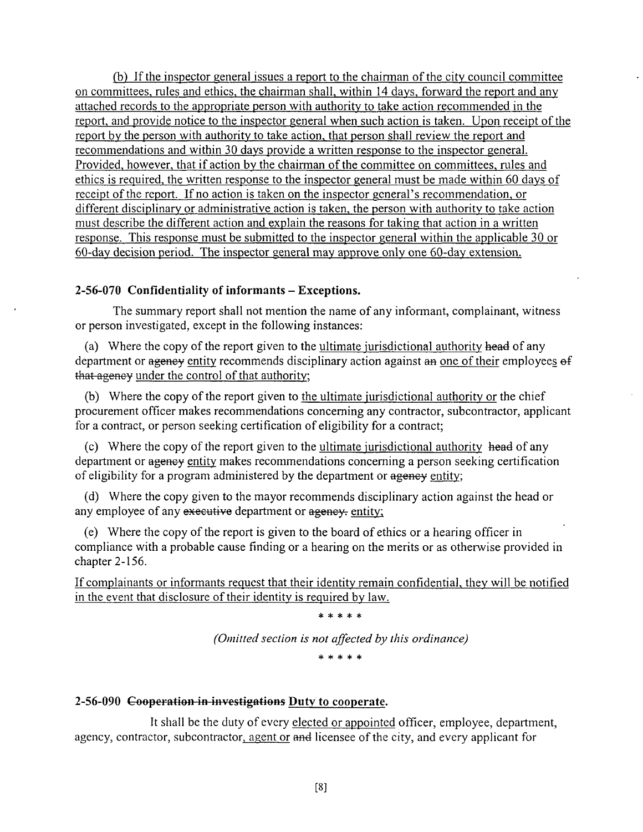(b) If the inspector general issues a report to the chairman of the city council committee on committees, rules and ethics, the chairman shall, within 14 days, forward the report and any attached records to the appropriate person with authority to take action recommended in the report, and provide notice to the inspector general when such action is taken. Upon receipt of the report by the person with authority to take action, that person shall review the report and recommendations and within 30 days provide a written response to the inspector general. Provided, however, that if action by the chairman of the committee on committees, rules and ethics is required, the written response to the inspector general must be made within 60 days of receipt of the report. If no action is taken on the inspector general's recommendation, or different disciplinary or administrative action is taken, the person with authority to take action must describe the different action and explain the reasons for taking that action in a written response. This response must be submitted to the inspector general within the applicable 30 or 6Q-day decision period. The inspector general may approve only one 60-day extension.

## **2-56-070 Confidentiality of informants - Exceptions.**

The summary report shall not mention the name of any informant, complainant, witness or person investigated, except in the following instances:

(a) Where the copy of the report given to the ultimate jurisdictional authority head of any department or agency entity recommends disciplinary action against an one of their employees of that agency under the control of that authority;

(b) Where the copy of the report given to the ultimate jurisdictional authority or the chief procurement officer makes recommendations conceming any contractor, subcontractor, applicant for a contract, or person seeking certification of eligibility for a contract;

(c) Where the copy of the report given to the ultimate jurisdictional authority head of any department or agency entity makes recommendations concerning a person seeking certification of eligibility for a program administered by the department or agency entity;

(d) Where the copy given to the mayor recommends disciplinary action against the head or any employee of any executive department or agency, entity;

(e) Where the copy of the report is given to the board of ethics or a hearing officer in compliance with a probable cause finding or a hearing on the merits or as otherwise provided in chapter 2-156.

If complainants or informants request that their idenfity remain confidenfial, they will be notified in the event that disclosure of their identity is required by law.

\* \* \* \* \*

*(Omitted section is not affected by this ordinance)* 

\* \* \* \* \*

### **2-56-090 Coepeyation in investigations Duty to cooperate.**

It shall be the duty of every elected or appointed officer, employee, department, agency, contractor, subcontractor, agent or and licensee of the city, and every applicant for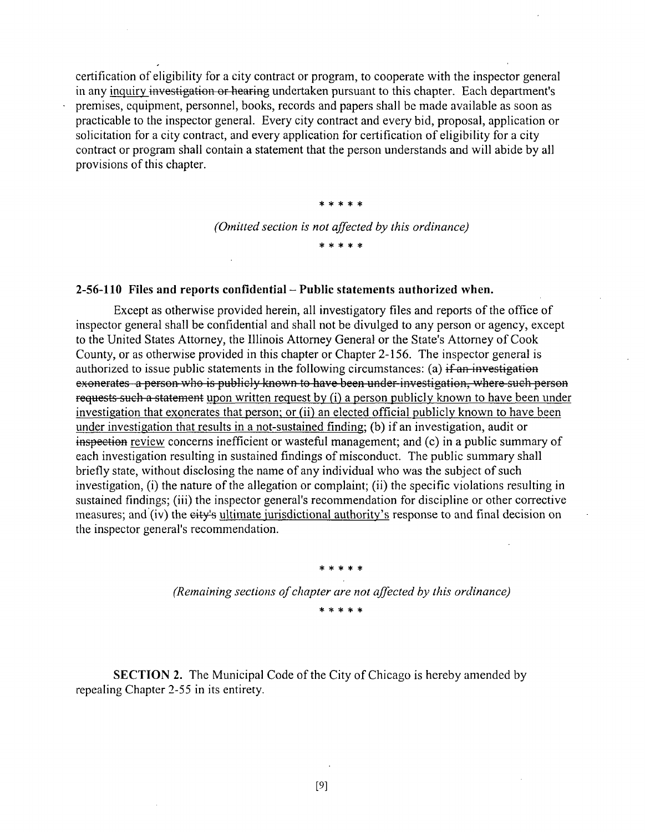certification of eligibility for a city contract or program, to cooperate with the inspector general in any inquiry investigation or hearing undertaken pursuant to this chapter. Each department's preniises, equipment, personnel, books, records and papers shall be made available as soon as practicable to the inspector general. Every city contract and every bid, proposal, application or solicitation for a city contract, and every application for certification of eligibility for a city contract or program shall contain a statement that the person understands and will abide by all provisions of this chapter.

> \*\*\*\* \* *(Omitted section is not affected by this ordinance)*

> > **3)c 3le :)e**

#### 2-56-110 Files and reports confidential – Public statements authorized when.

Except as otherwise provided herein, all investigatory files and reports of the office of inspector general shall be confidential and shall not be divulged to any person or agency, except to the United States Attorney, the Illinois Attorney General or the State's Attorney of Cook County, or as otherwise provided in this chapter or Chapter 2-156. The inspector general is authorized to issue public statements in the following circumstances: (a)  $\frac{1}{1}$  an investigation exonerates a person who is publicly known to have been under investigation, where such person requests such a statement upon written request by (i) a person publicly known to have been under investigation that exonerates that person: or (ii) an elected official publicly known to have been under investigation that results in a not-sustained finding; (b) if an investigation, audit or inspection review concerns inefficient or wasteful management; and (c) in a public summary of each investigation resulting in sustained findings of misconduct. The public summary shall briefly state, without disclosing the name of any individual who was the subject of such investigation, (i) the nature of the allegation or complaint; (ii) the specific violations resulting in sustained findings; (iii) the inspector general's recommendation for discipline or other corrective measures; and (iv) the city's ultimate iurisdictional authority's response to and final decision on the inspector general's recommendafion.

> *(Remaining sections of chapter are not affected hy this ordinance)*  \* \* \* \* \*

\* \* \* \* \*

SECTION 2. The Municipal Code of the City of Chicago is hereby amended by repealing Chapter 2-55 in its entirety.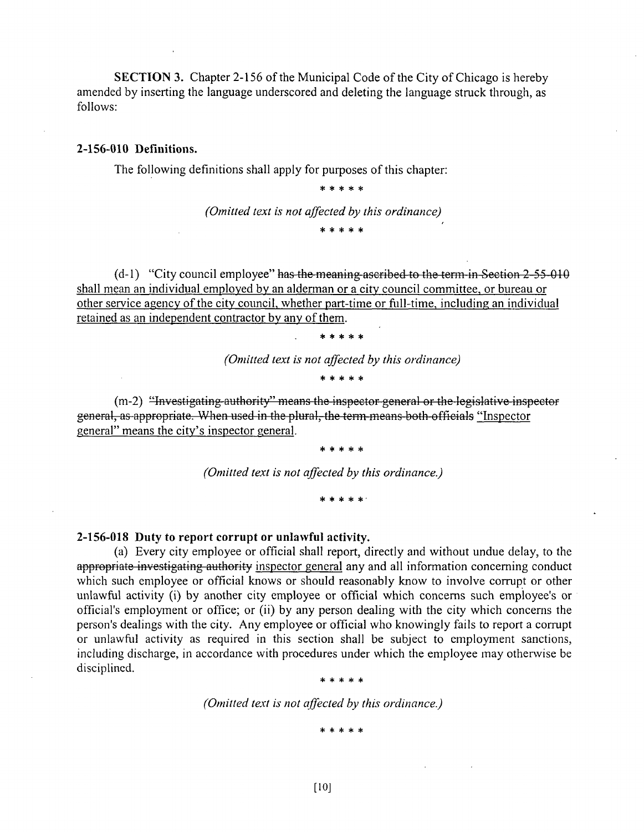SECTION 3. Chapter 2-156 of the Municipal Code of the City of Chicago is hereby amended by inserting the language underscored and deleting the language struck through, as follows:

#### **2-156-010 Defmitions.**

The following definitions shall apply for purposes of this chapter:

\* \* \* \* \*

*(Omitted text is not affected by this ordinance)* 

\*\*\*\* \*

 $(d-1)$  "City council employee" has the meaning ascribed to the term in Section  $2-55-010$ shall mean an individual employed by an alderman or a city council committee, or bureau or other service agency of the city council, whether part-time or fiill-time, including an individual retained as an independent contractor by any of them.

\*\*\*\* \*

*(Omitted text is not affected by this ordinance)* 

\* \* \* \* \*

(m-2) "Investigating authority" means the inspector general or the legislative inspector general, as appropriate. When used in the plural, the tenn means both officials "Inspector general" means the city's inspector general.

\* \* \* \* \*

*(Omitted text is not affected by this ordinance.)* 

**\*\*\*\*\* \*** 

**2-156-018 Duty to report corrupt or unlawful activity.** 

(a) Every city employee or official shall report, directly and without undue delay, to the appropriate investigating authority inspector general any and all information concerning conduct which such employee or official knows or should reasonably know to involve corrupt or other unlawful activity (i) by another city employee or official which concerns such employee's or official's employment or office; or (ii) by any person dealing with the city which concerns the person's dealings with the city. Any employee or official who knowingly fails to report a corrupt or unlawful activity as required in this section shall be subject to employment sanctions, including discharge, in accordance with procedures under which the employee may otherwise be disciplined.

**\*\*\*\* \*** 

*(Omitted text is not affected hy this ordinance.)* 

**\*\*\*\* \***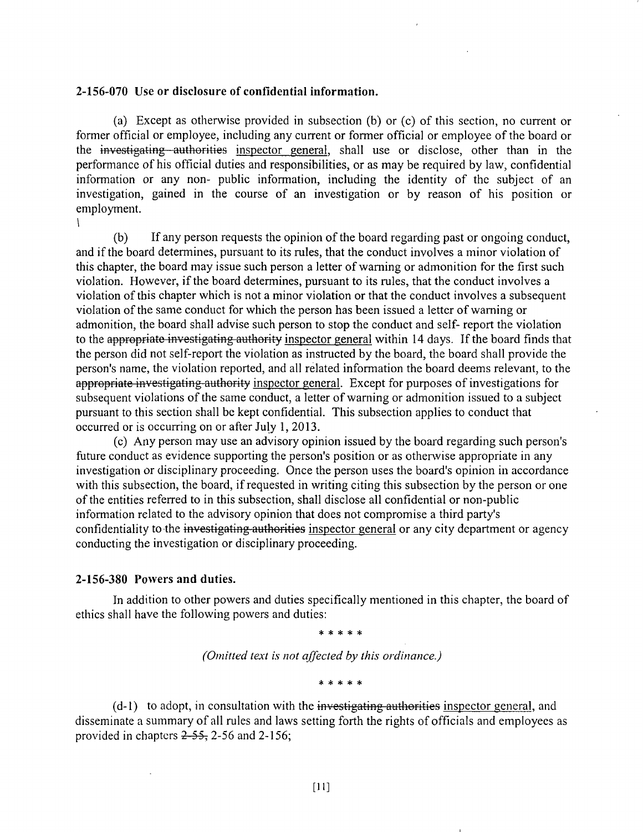#### **2-156-070 Use or disclosure of confidential information.**

(a) Except as otherwise provided in subsecfion (b) or (c) of this section, no current or former official or employee, including any current or former official or employee of the board or the investigating authorities inspector general, shall use or disclose, other than in the performance of his official dufies and responsibilifies, or as may be required by law, confidenfial information or any non- public information, including the identity of the subject of an invesfigation, gained in the course of an investigation or by reason of his position or employment.

(b) If any person requests the opinion of the board regarding past or ongoing conduct, and if the board determines, pursuant to its rules, that the conduct involves a minor violation of this chapter, the board may issue such person a letter of waming or admonition for the first such violation. However, if the board determines, pursuant to its rules, that the conduct involves a violation of this chapter which is not a minor violation or that the conduct involves a subsequent violation of the same conduct for which the person has been issued a letter of warning or admonition, the board shall advise such person to stop the conduct and self- report the violation to the appropriate investigating authority inspector general within 14 days. If the board finds that the person did not self-report the violation as instructed by the board, the board shall provide the person's name, the violation reported, and all related information the board deems relevant, to the appropriate investigating authority inspector general. Except for purposes of investigations for subsequent violations of the same conduct, a letter of warning or admonition issued to a subject pursuant to this section shall be kept confidential. This subsection applies to conduct that occurred or is occurring on or after July 1, 2013.

(c) Any person may use an advisory opinion issued by the board regarding such person's future conduct as evidence supporting the person's position or as otherwise appropriate in any invesfigation or disciplinary proceeding. Once the person uses the board's opinion in accordance with this subsection, the board, if requested in writing citing this subsection by the person or one of the enfifies referred to in this subsection, shall disclose all confidential or non-public infomiation related to the advisory opinion that does not compromise a third party's confidentiality to the investigating authorities inspector general or any city department or agency conducting the invesfigation or disciplinary proceeding.

#### **2-156-380 Powers and duties.**

1

In addition to other powers and duties specifically mentioned in this chapter, the board of ethics shall have the following powers and duties:

*ii: iil ^ 7^* 

*(Omitted text is not affected hy this ordinance.)* 

\* \* \* \* \*

(d-1) to adopt, in consultation with the investigating authorities inspector general, and disseminate a summary of all rules and laws setting forth the rights of officials and employees as provided in chapters  $2-55$ , 2-56 and 2-156;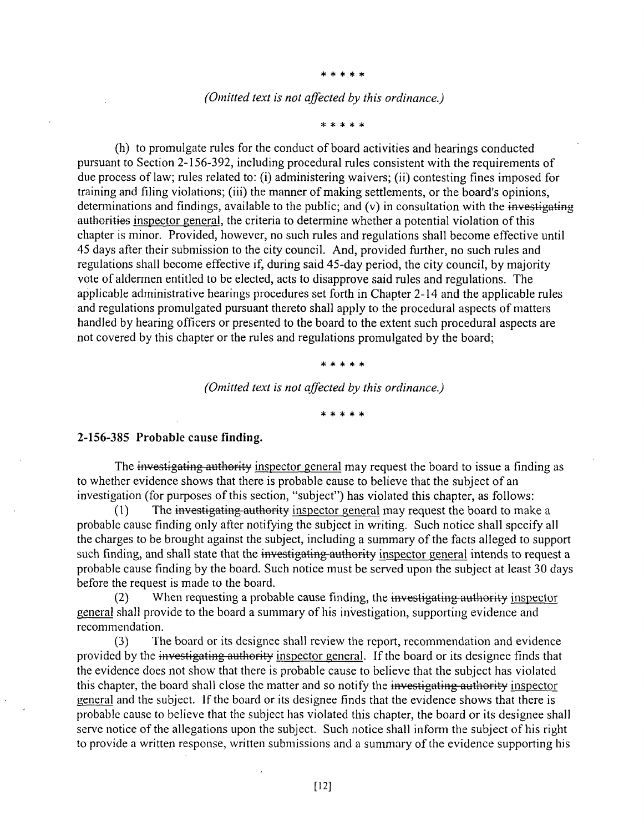**\*\*\*\* \*** 

#### *(Omitted text is not affected by this ordinance.)*

**\*\*\*\* \*** 

(h) to promulgate rules for the conduct of board activities and hearings conducted pursuant to Section 2-156-392, including procedural rules consistent with the requirements of due process of law; mles related to: (i) administering waivers; (ii) contesting fines imposed for training and filing violations; (iii) the manner of making settlements, or the board's opinions, determinations and findings, available to the public; and  $(v)$  in consultation with the investigating authorities inspector general, the criteria to determine whether a potential violation of this chapter is minor. Provided, however, no such rules and regulations shall become effective until 45 days after their submission to the city council. And, provided further, no such rules and regulations shall become effective if, during said 45-day period, the city council, by majority vote of aldermen entitled to be elected, acts to disapprove said rules and regulafions. The applicable administrative hearings procedures set forth in Chapter 2-14 and the applicable rules and regulations promulgated pursuant thereto shall apply to the procedural aspects of matters handled by hearing officers or presented to the board to the extent such procedural aspects are not covered by this chapter or the rules and regulations promulgated by the board;

\* \* \* \* \*

*(Omitted text is not affected hy this ordinance.)* 

**\*\*\*\* \*** 

#### **2-156-385 Probable cause finding.**

The investigating authority inspector general may request the board to issue a finding as to whether evidence shows that there is probable cause to believe that the subject of an investigation (for purposes of this section, "subject") has violated this chapter, as follows:

(1) The investigating authority inspector general may request the board to make a probable cause finding only after notifying the subject in writing. Such notice shall specify all the charges to be brought against the subject, including a summary of the facts alleged to support such finding, and shall state that the investigating authority inspector general intends to request a probable cause finding by the board. Such notice must be served upon the subject at least 30 days before the request is made to the board.

(2) When requesting a probable cause finding, the investigating authority inspector general shall provide to the board a summary of his invesfigation, supporting evidence and recommendation.

(3) The board or its designee shall review the report, recommendation and evidence provided by the investigating authority inspector general. If the board or its designee finds that the evidence does not show that there is probable cause to believe that the subject has violated this chapter, the board shall close the matter and so notify the investigating authority inspector general and the subject. If the board or its designee finds that the evidence shows that there is probable cause to believe that the subject has violated this chapter, the board or its designee shall serve notice of the allegations upon the subject. Such notice shall inform the subject of his right to provide a written response, written submissions and a summary of the evidence supporting his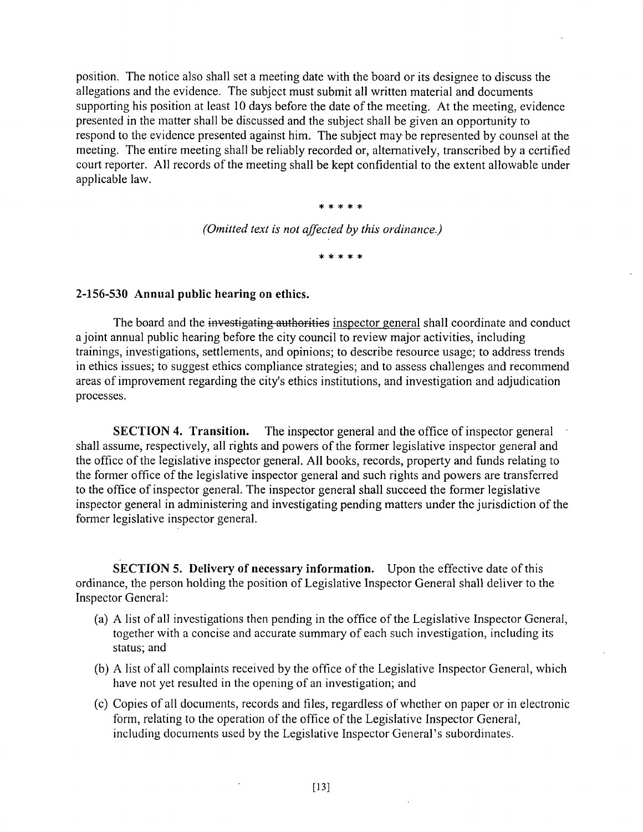position. The notice also shall set a meefing date with the board or its designee to discuss the allegations and the evidence. The subject must submit all written material and documents supporting his position at least 10 days before the date of the meeting. At the meefing, evidence presented in the matter shall be discussed and the subject shall be given an opportunity to respond to the evidence presented against him. The subject may be represented by counsel at the meefing. The entire meeting shall be reliably recorded or, alternatively, transcribed by a certified court reporter. All records of the meeting shall be kept confidential to the extent allowable under applicable law.

\* \* \* \* \*

*(Omitted text is not affected by this ordinance.)* 

\*\*\*\* \*

#### **2-156-530 Annual public hearing on ethics.**

The board and the investigating authorities inspector general shall coordinate and conduct a joint annual public hearing before the city council to review major activities, including trainings, investigations, settlements, and opinions; to describe resource usage; to address trends in ethics issues; to suggest ethics compliance strategies; and to assess challenges and recommend areas of improvement regarding the city's ethics institutions, and investigation and adjudication processes.

SECTION 4. Transition. The inspector general and the office of inspector general shall assume, respectively, all rights and powers of the former legislative inspector general and the office of the legislative inspector general. All books, records, property and funds relating to the former office of the legislative inspector general and such rights and powers are transferred to the office of inspector general. The inspector general shall succeed the former legislative inspector general in administering and investigating pending matters under the jurisdiction of the former legislative inspector general.

SECTION 5. Delivery of necessary information. Upon the effective date of this ordinance, the person holding the posifion of Legislafive Inspector General shall deliver to the Inspector General:

- (a) A list of all invesfigations then pending in the office of the Legislafive Inspector General, together with a concise and accurate summary of each such investigation, including its status; and
- (b) A list of all complaints received by the office of the Legislative Inspector General, which have not yet resulted in the opening of an investigation; and
- (c) Copies of all documents, records and files, regardless of whether on paper or in electronic form, relating to the operation of the office of the Legislative Inspector General, including documents used by the Legislative Inspector General's subordinates.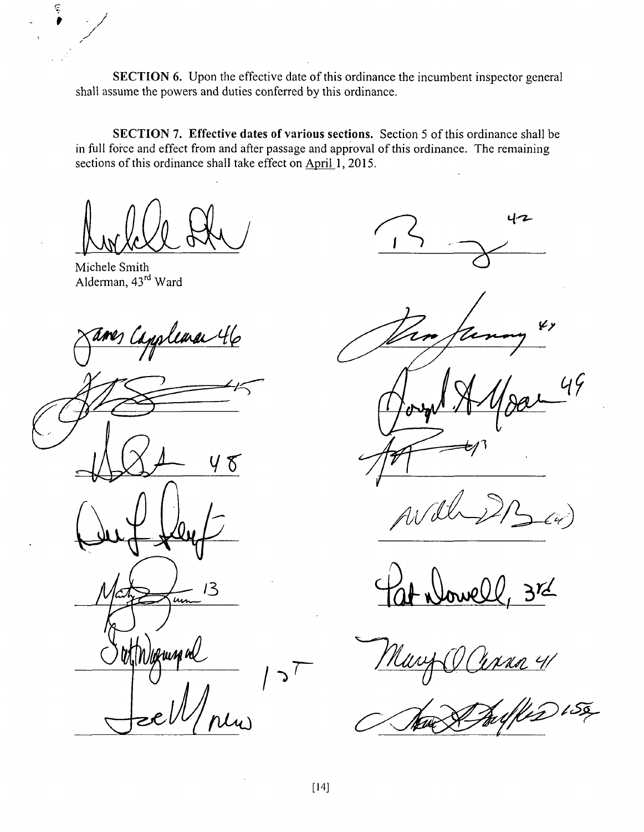SECTION 6. Upon the effective date of this ordinance the incumbent inspector general shall assume the powers and duties conferred by this ordinance.

SECTION 7. Effective dates of various sections. Section 5 of this ordinance shall be in full force and effect from and after passage and approval of this ordinance. The remaining sections of this ordinance shall take effect on April 1, 2015.

Michele Smith Alderman, 43<sup>rd</sup> Ward

Ę

<u>slema 46</u>